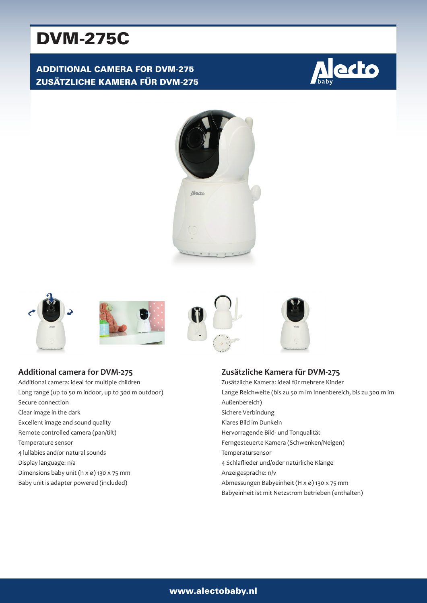# DVM-275C

# ADDITIONAL CAMERA FOR DVM-275 ZUSÄTZLICHE KAMERA FÜR DVM-275













**Additional camera for DVM-275** Additional camera: ideal for multiple children Long range (up to 50 m indoor, up to 300 m outdoor) Secure connection Clear image in the dark Excellent image and sound quality Remote controlled camera (pan/tilt) Temperature sensor 4 lullabies and/or natural sounds Display language: n/a Dimensions baby unit (h x ø) 130 x 75 mm



**Zusätzliche Kamera für DVM-275** Zusätzliche Kamera: ideal für mehrere Kinder Lange Reichweite (bis zu 50 m im Innenbereich, bis zu 300 m im Außenbereich) Sichere Verbindung Klares Bild im Dunkeln Hervorragende Bild- und Tonqualität Ferngesteuerte Kamera (Schwenken/Neigen) Temperatursensor 4 Schlaflieder und/oder natürliche Klänge Anzeigesprache: n/v Abmessungen Babyeinheit (H x ø) 130 x 75 mm Babyeinheit ist mit Netzstrom betrieben (enthalten)